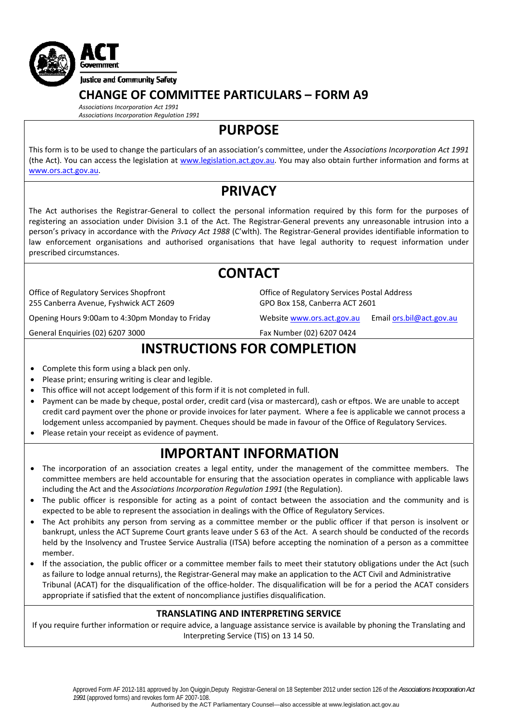

### **CHANGE OF COMMITTEE PARTICULARS – FORM A9**

*Associations Incorporation Act 1991 Associations Incorporation Regulation 1991*

**PURPOSE**

This form is to be used to change the particulars of an association's committee, under the *Associations Incorporation Act 1991* (the Act). You can access the legislation at [www.legislation.act.gov.au](http://www.legislation.act.gov.au/). You may also obtain further information and forms at [www.ors.act.gov.au.](http://www.ors.act.gov.au/)

## **PRIVACY**

The Act authorises the Registrar‐General to collect the personal information required by this form for the purposes of registering an association under Division 3.1 of the Act. The Registrar‐General prevents any unreasonable intrusion into a person's privacy in accordance with the *Privacy Act 1988* (C'wlth). The Registrar‐General provides identifiable information to law enforcement organisations and authorised organisations that have legal authority to request information under prescribed circumstances.

## **CONTACT**

Office of Regulatory Services Shopfront 255 Canberra Avenue, Fyshwick ACT 2609

Opening Hours 9:00am to 4:30pm Monday to Friday Website [www.ors.act.gov.au](http://www.ors.act.gov.au/) Email [ors.bil@act.gov.au](mailto:ors.bil@act.gov.au)

General Enquiries (02) 6207 3000 Fax Number (02) 6207 0424

GPO Box 158, Canberra ACT 2601

Office of Regulatory Services Postal Address

# **INSTRUCTIONS FOR COMPLETION**

- Complete this form using a black pen only.
- Please print; ensuring writing is clear and legible.
- This office will not accept lodgement of this form if it is not completed in full.
- Payment can be made by cheque, postal order, credit card (visa or mastercard), cash or eftpos. We are unable to accept credit card payment over the phone or provide invoices for later payment. Where a fee is applicable we cannot process a lodgement unless accompanied by payment. Cheques should be made in favour of the Office of Regulatory Services.
- Please retain your receipt as evidence of payment.

## **IMPORTANT INFORMATION**

- The incorporation of an association creates a legal entity, under the management of the committee members. The committee members are held accountable for ensuring that the association operates in compliance with applicable laws including the Act and the *Associations Incorporation Regulation 1991* (the Regulation).
- The public officer is responsible for acting as a point of contact between the association and the community and is expected to be able to represent the association in dealings with the Office of Regulatory Services.
- The Act prohibits any person from serving as a committee member or the public officer if that person is insolvent or bankrupt, unless the ACT Supreme Court grants leave under S 63 of the Act. A search should be conducted of the records held by the Insolvency and Trustee Service Australia (ITSA) before accepting the nomination of a person as a committee member.
- If the association, the public officer or a committee member fails to meet their statutory obligations under the Act (such as failure to lodge annual returns), the Registrar‐General may make an application to the ACT Civil and Administrative Tribunal (ACAT) for the disqualification of the office‐holder. The disqualification will be for a period the ACAT considers appropriate if satisfied that the extent of noncompliance justifies disqualification.

### **TRANSLATING AND INTERPRETING SERVICE**

If you require further information or require advice, a language assistance service is available by phoning the Translating and Interpreting Service (TIS) on 13 14 50.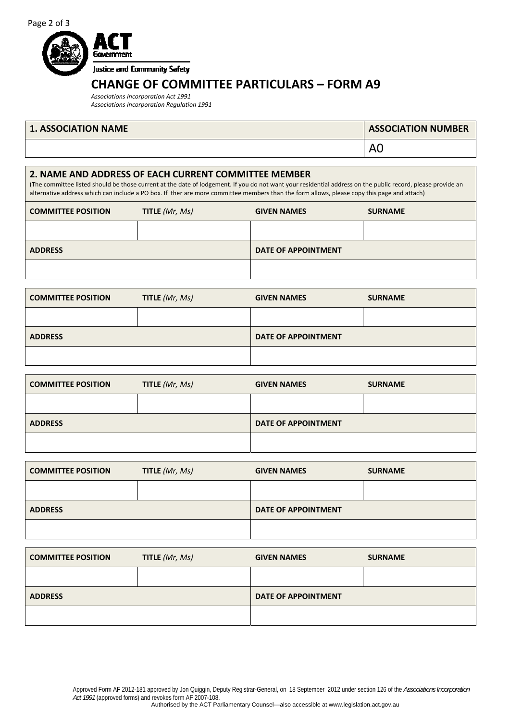

## **CHANGE OF COMMITTEE PARTICULARS – FORM A9**

*Associations Incorporation Act 1991 Associations Incorporation Regulation 1991*

### **1. ASSOCIATION NAME**

| <b>ASSOCIATION NUMBER</b> |
|---------------------------|
| l A0                      |

#### **2. NAME AND ADDRESS OF EACH CURRENT COMMITTEE MEMBER**

(The committee listed should be those current at the date of lodgement. If you do not want your residential address on the public record, please provide an alternative address which can include a PO box. If ther are more committee members than the form allows, please copy this page and attach)

| <b>COMMITTEE POSITION</b> | TITLE (Mr, Ms) | <b>GIVEN NAMES</b>         | <b>SURNAME</b> |
|---------------------------|----------------|----------------------------|----------------|
|                           |                |                            |                |
| <b>ADDRESS</b>            |                | <b>DATE OF APPOINTMENT</b> |                |
|                           |                |                            |                |

| <b>COMMITTEE POSITION</b> | TITLE (Mr, Ms) | <b>GIVEN NAMES</b>         | <b>SURNAME</b> |
|---------------------------|----------------|----------------------------|----------------|
|                           |                |                            |                |
| <b>ADDRESS</b>            |                | <b>DATE OF APPOINTMENT</b> |                |
|                           |                |                            |                |

| <b>COMMITTEE POSITION</b> | <b>TITLE</b> $(Mr, Ms)$ | <b>GIVEN NAMES</b>         | <b>SURNAME</b> |
|---------------------------|-------------------------|----------------------------|----------------|
|                           |                         |                            |                |
| <b>ADDRESS</b>            |                         | <b>DATE OF APPOINTMENT</b> |                |
|                           |                         |                            |                |

| <b>COMMITTEE POSITION</b> | TITLE (Mr, Ms) | <b>GIVEN NAMES</b>         | <b>SURNAME</b> |
|---------------------------|----------------|----------------------------|----------------|
|                           |                |                            |                |
| <b>ADDRESS</b>            |                | <b>DATE OF APPOINTMENT</b> |                |
|                           |                |                            |                |

| <b>COMMITTEE POSITION</b> | TITLE (Mr, Ms) | <b>GIVEN NAMES</b>         | <b>SURNAME</b> |
|---------------------------|----------------|----------------------------|----------------|
|                           |                |                            |                |
| <b>ADDRESS</b>            |                | <b>DATE OF APPOINTMENT</b> |                |
|                           |                |                            |                |